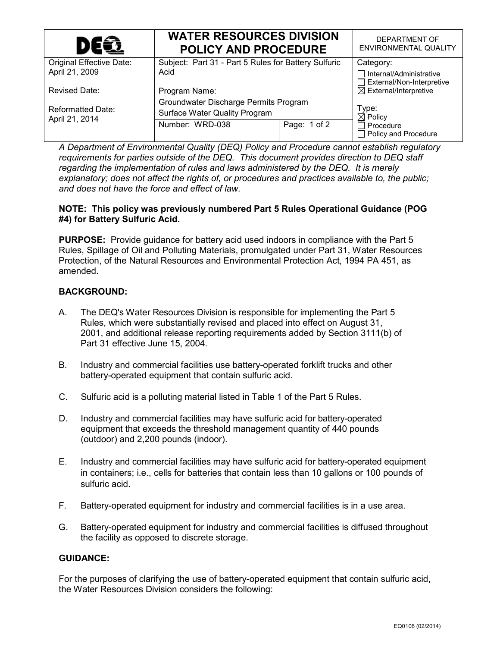| DEQ                                        | <b>WATER RESOURCES DIVISION</b><br><b>POLICY AND PROCEDURE</b> |              | DEPARTMENT OF<br><b>ENVIRONMENTAL QUALITY</b>               |
|--------------------------------------------|----------------------------------------------------------------|--------------|-------------------------------------------------------------|
| <b>Original Effective Date:</b>            | Subject: Part 31 - Part 5 Rules for Battery Sulfuric           |              | Category:                                                   |
| April 21, 2009                             | Acid                                                           |              | $\Box$ Internal/Administrative<br>External/Non-Interpretive |
| <b>Revised Date:</b>                       | Program Name:                                                  |              | $\boxtimes$ External/Interpretive                           |
| <b>Reformatted Date:</b><br>April 21, 2014 | Groundwater Discharge Permits Program                          |              |                                                             |
|                                            | Surface Water Quality Program                                  |              | Type:<br>$\boxtimes$ Policy                                 |
|                                            | Number: WRD-038                                                | Page: 1 of 2 | $\Box$ Procedure<br>$\Box$ Policy and Procedure             |

*A Department of Environmental Quality (DEQ) Policy and Procedure cannot establish regulatory requirements for parties outside of the DEQ. This document provides direction to DEQ staff regarding the implementation of rules and laws administered by the DEQ. It is merely explanatory; does not affect the rights of, or procedures and practices available to, the public; and does not have the force and effect of law.*

## **NOTE: This policy was previously numbered Part 5 Rules Operational Guidance (POG #4) for Battery Sulfuric Acid.**

**PURPOSE:** Provide guidance for battery acid used indoors in compliance with the Part 5 Rules, Spillage of Oil and Polluting Materials, promulgated under Part 31, Water Resources Protection, of the Natural Resources and Environmental Protection Act, 1994 PA 451, as amended.

## **BACKGROUND:**

- A. The DEQ's Water Resources Division is responsible for implementing the Part 5 Rules, which were substantially revised and placed into effect on August 31, 2001, and additional release reporting requirements added by Section 3111(b) of Part 31 effective June 15, 2004.
- B. Industry and commercial facilities use battery-operated forklift trucks and other battery-operated equipment that contain sulfuric acid.
- C. Sulfuric acid is a polluting material listed in Table 1 of the Part 5 Rules.
- D. Industry and commercial facilities may have sulfuric acid for battery-operated equipment that exceeds the threshold management quantity of 440 pounds (outdoor) and 2,200 pounds (indoor).
- E. Industry and commercial facilities may have sulfuric acid for battery-operated equipment in containers; i.e., cells for batteries that contain less than 10 gallons or 100 pounds of sulfuric acid.
- F. Battery-operated equipment for industry and commercial facilities is in a use area.
- G. Battery-operated equipment for industry and commercial facilities is diffused throughout the facility as opposed to discrete storage.

## **GUIDANCE:**

For the purposes of clarifying the use of battery-operated equipment that contain sulfuric acid, the Water Resources Division considers the following: